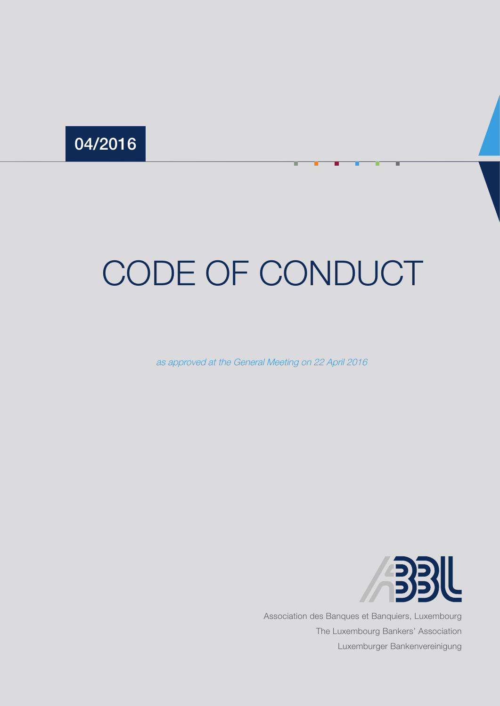# 04/2016

# CODE OF CONDUCT

as approved at the General Meeting on 22 April 2016



Association des Banques et Banquiers, Luxembourg The Luxembourg Bankers' Association Luxemburger Bankenvereinigung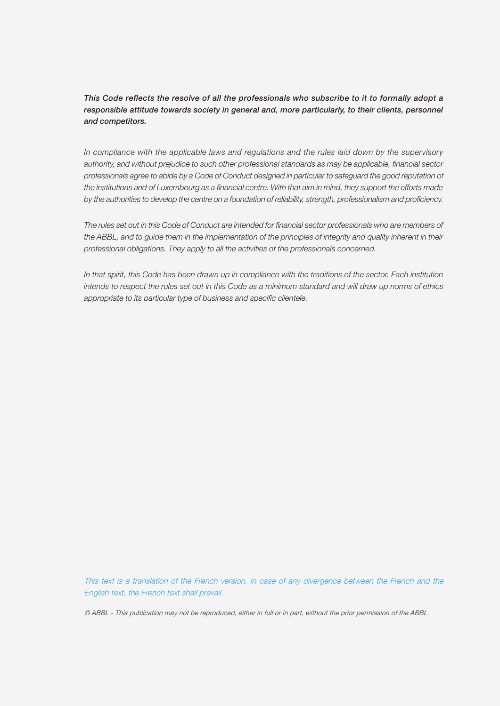*This Code reflects the resolve of all the professionals who subscribe to it to formally adopt a responsible attitude towards society in general and, more particularly, to their clients, personnel and competitors.*

*In compliance with the applicable laws and regulations and the rules laid down by the supervisory authority, and without prejudice to such other professional standards as may be applicable, financial sector professionals agree to abide by a Code of Conduct designed in particular to safeguard the good reputation of*  the institutions and of Luxembourg as a financial centre. With that aim in mind, they support the efforts made *by the authorities to develop the centre on a foundation of reliability, strength, professionalism and proficiency.*

*The rules set out in this Code of Conduct are intended for financial sector professionals who are members of the ABBL, and to guide them in the implementation of the principles of integrity and quality inherent in their professional obligations. They apply to all the activities of the professionals concerned.*

*In that spirit, this Code has been drawn up in compliance with the traditions of the sector. Each institution intends to respect the rules set out in this Code as a minimum standard and will draw up norms of ethics appropriate to its particular type of business and specific clientele.*

This text is a translation of the French version. In case of any divergence between the French and the English text, the French text shall prevail.

© ABBL - This publication may not be reproduced, either in full or in part, without the prior permission of the ABBL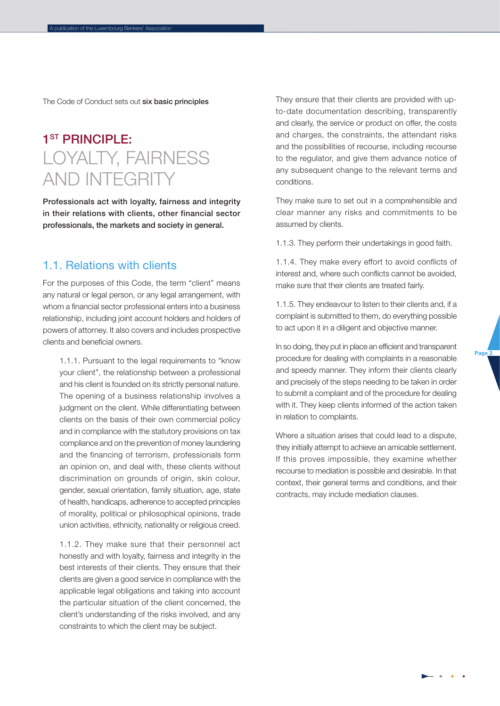The Code of Conduct sets out six basic principles

## 1<sup>ST</sup> PRINCIPI F. LOYALTY, FAIRNESS AND INTEGRITY

Professionals act with loyalty, fairness and integrity in their relations with clients, other financial sector professionals, the markets and society in general.

#### 1.1. Relations with clients

For the purposes of this Code, the term "client" means any natural or legal person, or any legal arrangement, with whom a financial sector professional enters into a business relationship, including joint account holders and holders of powers of attorney. It also covers and includes prospective clients and beneficial owners.

1.1.1. Pursuant to the legal requirements to "know your client", the relationship between a professional and his client is founded on its strictly personal nature. The opening of a business relationship involves a judgment on the client. While differentiating between clients on the basis of their own commercial policy and in compliance with the statutory provisions on tax compliance and on the prevention of money laundering and the financing of terrorism, professionals form an opinion on, and deal with, these clients without discrimination on grounds of origin, skin colour, gender, sexual orientation, family situation, age, state of health, handicaps, adherence to accepted principles of morality, political or philosophical opinions, trade union activities, ethnicity, nationality or religious creed.

1.1.2. They make sure that their personnel act honestly and with loyalty, fairness and integrity in the best interests of their clients. They ensure that their clients are given a good service in compliance with the applicable legal obligations and taking into account the particular situation of the client concerned, the client's understanding of the risks involved, and any constraints to which the client may be subject.

They ensure that their clients are provided with upto-date documentation describing, transparently and clearly, the service or product on offer, the costs and charges, the constraints, the attendant risks and the possibilities of recourse, including recourse to the regulator, and give them advance notice of any subsequent change to the relevant terms and conditions.

They make sure to set out in a comprehensible and clear manner any risks and commitments to be assumed by clients.

1.1.3. They perform their undertakings in good faith.

1.1.4. They make every effort to avoid conflicts of interest and, where such conflicts cannot be avoided, make sure that their clients are treated fairly.

1.1.5. They endeavour to listen to their clients and, if a complaint is submitted to them, do everything possible to act upon it in a diligent and objective manner.

In so doing, they put in place an efficient and transparent procedure for dealing with complaints in a reasonable and speedy manner. They inform their clients clearly and precisely of the steps needing to be taken in order to submit a complaint and of the procedure for dealing with it. They keep clients informed of the action taken in relation to complaints.

Where a situation arises that could lead to a dispute, they initially attempt to achieve an amicable settlement. If this proves impossible, they examine whether recourse to mediation is possible and desirable. In that context, their general terms and conditions, and their contracts, may include mediation clauses.

Page<sub>3</sub>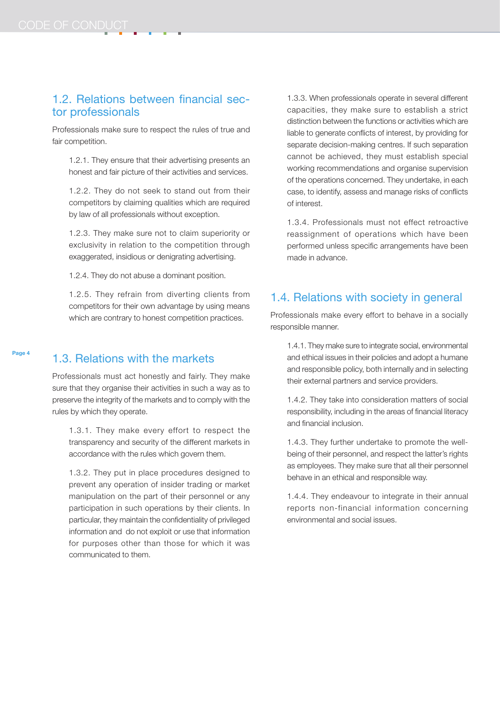### 1.2. Relations between financial sector professionals

Professionals make sure to respect the rules of true and fair competition.

1.2.1. They ensure that their advertising presents an honest and fair picture of their activities and services.

1.2.2. They do not seek to stand out from their competitors by claiming qualities which are required by law of all professionals without exception.

1.2.3. They make sure not to claim superiority or exclusivity in relation to the competition through exaggerated, insidious or denigrating advertising.

1.2.4. They do not abuse a dominant position.

1.2.5. They refrain from diverting clients from competitors for their own advantage by using means which are contrary to honest competition practices.

## 1.3. Relations with the markets

Professionals must act honestly and fairly. They make sure that they organise their activities in such a way as to preserve the integrity of the markets and to comply with the rules by which they operate.

1.3.1. They make every effort to respect the transparency and security of the different markets in accordance with the rules which govern them.

1.3.2. They put in place procedures designed to prevent any operation of insider trading or market manipulation on the part of their personnel or any participation in such operations by their clients. In particular, they maintain the confidentiality of privileged information and do not exploit or use that information for purposes other than those for which it was communicated to them.

1.3.3. When professionals operate in several different capacities, they make sure to establish a strict distinction between the functions or activities which are liable to generate conflicts of interest, by providing for separate decision-making centres. If such separation cannot be achieved, they must establish special working recommendations and organise supervision of the operations concerned. They undertake, in each case, to identify, assess and manage risks of conflicts of interest.

1.3.4. Professionals must not effect retroactive reassignment of operations which have been performed unless specific arrangements have been made in advance.

## 1.4. Relations with society in general

Professionals make every effort to behave in a socially responsible manner.

1.4.1. They make sure to integrate social, environmental and ethical issues in their policies and adopt a humane and responsible policy, both internally and in selecting their external partners and service providers.

1.4.2. They take into consideration matters of social responsibility, including in the areas of financial literacy and financial inclusion.

1.4.3. They further undertake to promote the wellbeing of their personnel, and respect the latter's rights as employees. They make sure that all their personnel behave in an ethical and responsible way.

1.4.4. They endeavour to integrate in their annual reports non-financial information concerning environmental and social issues.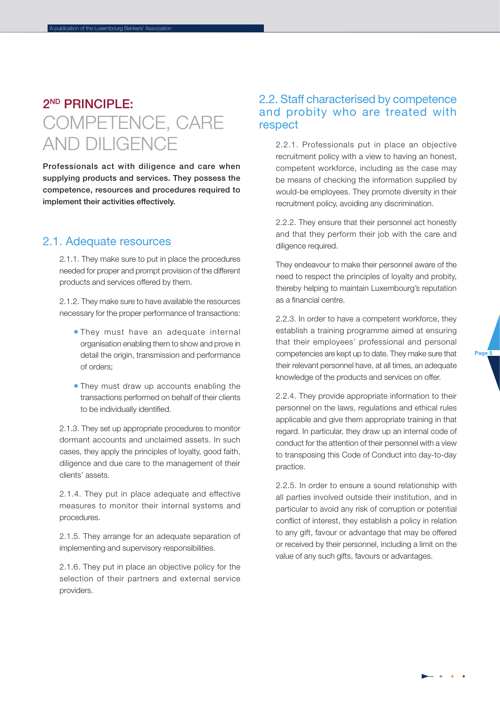## 2ND PRINCIPLE: COMPETENCE, CARE AND DILIGENCE

A publication of the Luxembourg Bankers' Association

Professionals act with diligence and care when supplying products and services. They possess the competence, resources and procedures required to implement their activities effectively.

## 2.1. Adequate resources

2.1.1. They make sure to put in place the procedures needed for proper and prompt provision of the different products and services offered by them.

2.1.2. They make sure to have available the resources necessary for the proper performance of transactions:

- **They must have an adequate internal** organisation enabling them to show and prove in detail the origin, transmission and performance of orders;
- **They must draw up accounts enabling the** transactions performed on behalf of their clients to be individually identified.

2.1.3. They set up appropriate procedures to monitor dormant accounts and unclaimed assets. In such cases, they apply the principles of loyalty, good faith, diligence and due care to the management of their clients' assets.

2.1.4. They put in place adequate and effective measures to monitor their internal systems and procedures.

2.1.5. They arrange for an adequate separation of implementing and supervisory responsibilities.

2.1.6. They put in place an objective policy for the selection of their partners and external service providers.

#### 2.2. Staff characterised by competence and probity who are treated with respect

2.2.1. Professionals put in place an objective recruitment policy with a view to having an honest, competent workforce, including as the case may be means of checking the information supplied by would-be employees. They promote diversity in their recruitment policy, avoiding any discrimination.

2.2.2. They ensure that their personnel act honestly and that they perform their job with the care and diligence required.

They endeavour to make their personnel aware of the need to respect the principles of loyalty and probity, thereby helping to maintain Luxembourg's reputation as a financial centre.

2.2.3. In order to have a competent workforce, they establish a training programme aimed at ensuring that their employees' professional and personal competencies are kept up to date. They make sure that their relevant personnel have, at all times, an adequate knowledge of the products and services on offer.

2.2.4. They provide appropriate information to their personnel on the laws, regulations and ethical rules applicable and give them appropriate training in that regard. In particular, they draw up an internal code of conduct for the attention of their personnel with a view to transposing this Code of Conduct into day-to-day practice.

2.2.5. In order to ensure a sound relationship with all parties involved outside their institution, and in particular to avoid any risk of corruption or potential conflict of interest, they establish a policy in relation to any gift, favour or advantage that may be offered or received by their personnel, including a limit on the value of any such gifts, favours or advantages.

Page<sub>5</sub>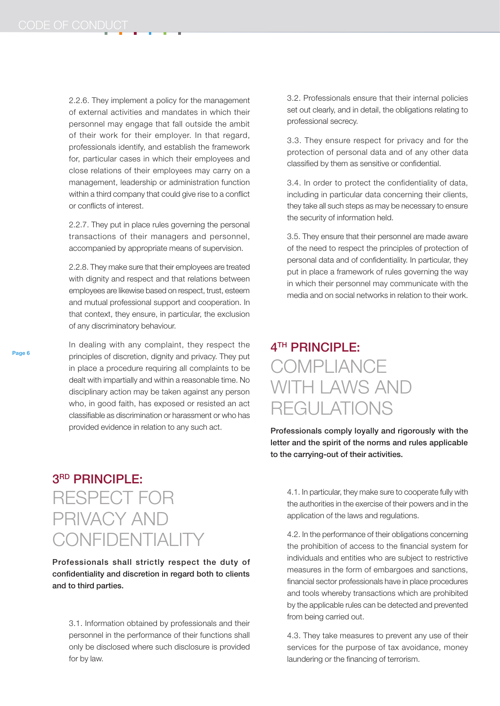2.2.6. They implement a policy for the management of external activities and mandates in which their personnel may engage that fall outside the ambit of their work for their employer. In that regard, professionals identify, and establish the framework for, particular cases in which their employees and close relations of their employees may carry on a management, leadership or administration function within a third company that could give rise to a conflict or conflicts of interest.

2.2.7. They put in place rules governing the personal transactions of their managers and personnel, accompanied by appropriate means of supervision.

2.2.8. They make sure that their employees are treated with dignity and respect and that relations between employees are likewise based on respect, trust, esteem and mutual professional support and cooperation. In that context, they ensure, in particular, the exclusion of any discriminatory behaviour.

In dealing with any complaint, they respect the principles of discretion, dignity and privacy. They put in place a procedure requiring all complaints to be dealt with impartially and within a reasonable time. No disciplinary action may be taken against any person who, in good faith, has exposed or resisted an act classifiable as discrimination or harassment or who has provided evidence in relation to any such act.

# 3RD PRINCIPLE: RESPECT FOR PRIVACY AND **CONFIDENTIALIT**

Professionals shall strictly respect the duty of confidentiality and discretion in regard both to clients and to third parties.

3.1. Information obtained by professionals and their personnel in the performance of their functions shall only be disclosed where such disclosure is provided for by law.

3.2. Professionals ensure that their internal policies set out clearly, and in detail, the obligations relating to professional secrecy.

3.3. They ensure respect for privacy and for the protection of personal data and of any other data classified by them as sensitive or confidential.

3.4. In order to protect the confidentiality of data, including in particular data concerning their clients, they take all such steps as may be necessary to ensure the security of information held.

3.5. They ensure that their personnel are made aware of the need to respect the principles of protection of personal data and of confidentiality. In particular, they put in place a framework of rules governing the way in which their personnel may communicate with the media and on social networks in relation to their work.

# 4TH PRINCIPLE: **COMPLIANCE** WITH LAWS AND REGULATIONS

Professionals comply loyally and rigorously with the letter and the spirit of the norms and rules applicable to the carrying-out of their activities.

4.1. In particular, they make sure to cooperate fully with the authorities in the exercise of their powers and in the application of the laws and regulations.

4.2. In the performance of their obligations concerning the prohibition of access to the financial system for individuals and entities who are subject to restrictive measures in the form of embargoes and sanctions, financial sector professionals have in place procedures and tools whereby transactions which are prohibited by the applicable rules can be detected and prevented from being carried out.

4.3. They take measures to prevent any use of their services for the purpose of tax avoidance, money laundering or the financing of terrorism.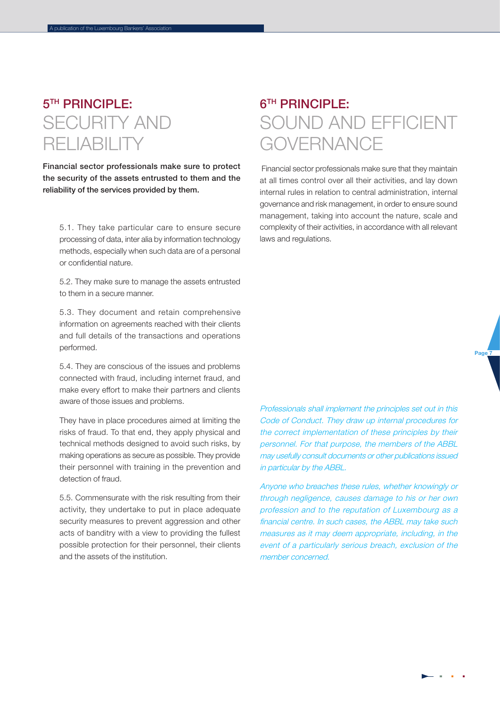# 5TH PRINCIPLE: SECURITY AND RELIABILITY

A publication of the Luxembourg Bankers' Association

Financial sector professionals make sure to protect the security of the assets entrusted to them and the reliability of the services provided by them.

5.1. They take particular care to ensure secure processing of data, inter alia by information technology methods, especially when such data are of a personal or confidential nature.

5.2. They make sure to manage the assets entrusted to them in a secure manner.

5.3. They document and retain comprehensive information on agreements reached with their clients and full details of the transactions and operations performed.

5.4. They are conscious of the issues and problems connected with fraud, including internet fraud, and make every effort to make their partners and clients aware of those issues and problems.

They have in place procedures aimed at limiting the risks of fraud. To that end, they apply physical and technical methods designed to avoid such risks, by making operations as secure as possible. They provide their personnel with training in the prevention and detection of fraud.

5.5. Commensurate with the risk resulting from their activity, they undertake to put in place adequate security measures to prevent aggression and other acts of banditry with a view to providing the fullest possible protection for their personnel, their clients and the assets of the institution.

# **6<sup>TH</sup> PRINCIPI F:** SOUND AND EFFICIENT **GOVERNANCE**

 Financial sector professionals make sure that they maintain at all times control over all their activities, and lay down internal rules in relation to central administration, internal governance and risk management, in order to ensure sound management, taking into account the nature, scale and complexity of their activities, in accordance with all relevant laws and regulations.

Professionals shall implement the principles set out in this Code of Conduct. They draw up internal procedures for the correct implementation of these principles by their personnel. For that purpose, the members of the ABBL may usefully consult documents or other publications issued in particular by the ABBL.

Anyone who breaches these rules, whether knowingly or through negligence, causes damage to his or her own profession and to the reputation of Luxembourg as a financial centre. In such cases, the ABBL may take such measures as it may deem appropriate, including, in the event of a particularly serious breach, exclusion of the member concerned.

Page 7